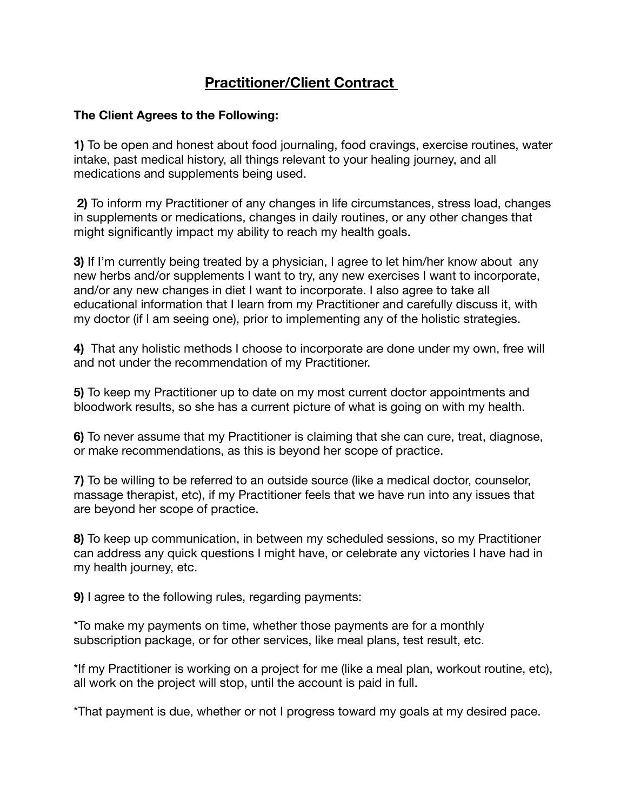# **Practitioner/Client Contract**

#### **The Client Agrees to the Following:**

**1)** To be open and honest about food journaling, food cravings, exercise routines, water intake, past medical history, all things relevant to your healing journey, and all medications and supplements being used.

 **2)** To inform my Practitioner of any changes in life circumstances, stress load, changes in supplements or medications, changes in daily routines, or any other changes that might significantly impact my ability to reach my health goals.

**3)** If I'm currently being treated by a physician, I agree to let him/her know about any new herbs and/or supplements I want to try, any new exercises I want to incorporate, and/or any new changes in diet I want to incorporate. I also agree to take all educational information that I learn from my Practitioner and carefully discuss it, with my doctor (if I am seeing one), prior to implementing any of the holistic strategies.

**4)** That any holistic methods I choose to incorporate are done under my own, free will and not under the recommendation of my Practitioner.

**5)** To keep my Practitioner up to date on my most current doctor appointments and bloodwork results, so she has a current picture of what is going on with my health.

**6)** To never assume that my Practitioner is claiming that she can cure, treat, diagnose, or make recommendations, as this is beyond her scope of practice.

**7)** To be willing to be referred to an outside source (like a medical doctor, counselor, massage therapist, etc), if my Practitioner feels that we have run into any issues that are beyond her scope of practice.

**8)** To keep up communication, in between my scheduled sessions, so my Practitioner can address any quick questions I might have, or celebrate any victories I have had in my health journey, etc.

**9)** I agree to the following rules, regarding payments:

\*To make my payments on time, whether those payments are for a monthly subscription package, or for other services, like meal plans, test result, etc.

\*If my Practitioner is working on a project for me (like a meal plan, workout routine, etc), all work on the project will stop, until the account is paid in full.

\*That payment is due, whether or not I progress toward my goals at my desired pace.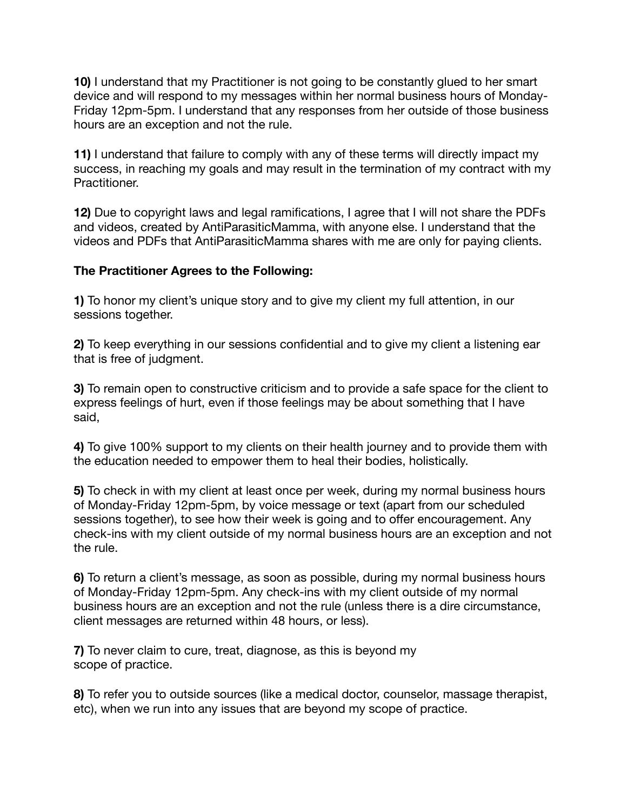**10)** I understand that my Practitioner is not going to be constantly glued to her smart device and will respond to my messages within her normal business hours of Monday-Friday 12pm-5pm. I understand that any responses from her outside of those business hours are an exception and not the rule.

**11)** I understand that failure to comply with any of these terms will directly impact my success, in reaching my goals and may result in the termination of my contract with my Practitioner.

**12)** Due to copyright laws and legal ramifications, I agree that I will not share the PDFs and videos, created by AntiParasiticMamma, with anyone else. I understand that the videos and PDFs that AntiParasiticMamma shares with me are only for paying clients.

# **The Practitioner Agrees to the Following:**

**1)** To honor my client's unique story and to give my client my full attention, in our sessions together.

**2)** To keep everything in our sessions confidential and to give my client a listening ear that is free of judgment.

**3)** To remain open to constructive criticism and to provide a safe space for the client to express feelings of hurt, even if those feelings may be about something that I have said,

**4)** To give 100% support to my clients on their health journey and to provide them with the education needed to empower them to heal their bodies, holistically.

**5)** To check in with my client at least once per week, during my normal business hours of Monday-Friday 12pm-5pm, by voice message or text (apart from our scheduled sessions together), to see how their week is going and to offer encouragement. Any check-ins with my client outside of my normal business hours are an exception and not the rule.

**6)** To return a client's message, as soon as possible, during my normal business hours of Monday-Friday 12pm-5pm. Any check-ins with my client outside of my normal business hours are an exception and not the rule (unless there is a dire circumstance, client messages are returned within 48 hours, or less).

**7)** To never claim to cure, treat, diagnose, as this is beyond my scope of practice.

**8)** To refer you to outside sources (like a medical doctor, counselor, massage therapist, etc), when we run into any issues that are beyond my scope of practice.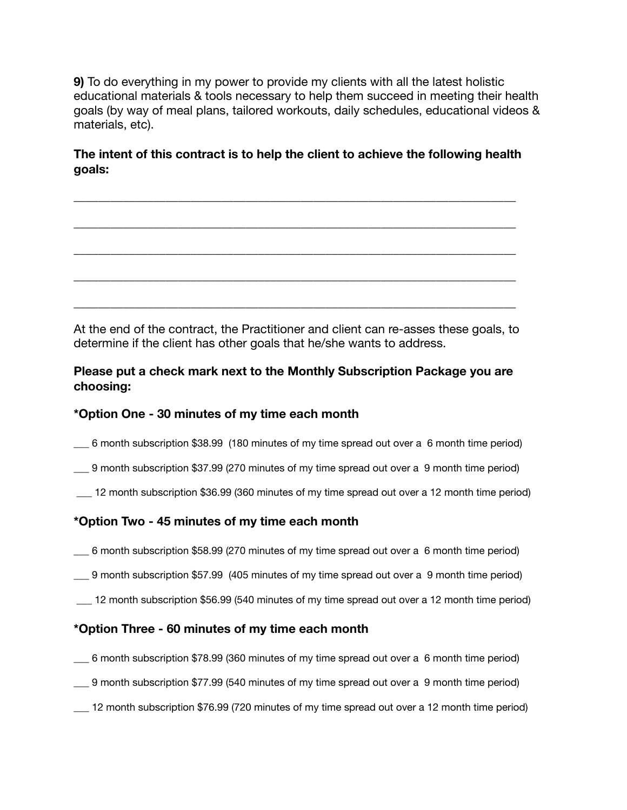**9)** To do everything in my power to provide my clients with all the latest holistic educational materials & tools necessary to help them succeed in meeting their health goals (by way of meal plans, tailored workouts, daily schedules, educational videos & materials, etc).

# **The intent of this contract is to help the client to achieve the following health goals:**

\_\_\_\_\_\_\_\_\_\_\_\_\_\_\_\_\_\_\_\_\_\_\_\_\_\_\_\_\_\_\_\_\_\_\_\_\_\_\_\_\_\_\_\_\_\_\_\_\_\_\_\_\_\_\_\_\_\_\_\_\_\_\_\_\_\_\_\_\_\_\_\_

\_\_\_\_\_\_\_\_\_\_\_\_\_\_\_\_\_\_\_\_\_\_\_\_\_\_\_\_\_\_\_\_\_\_\_\_\_\_\_\_\_\_\_\_\_\_\_\_\_\_\_\_\_\_\_\_\_\_\_\_\_\_\_\_\_\_\_\_\_\_\_\_

\_\_\_\_\_\_\_\_\_\_\_\_\_\_\_\_\_\_\_\_\_\_\_\_\_\_\_\_\_\_\_\_\_\_\_\_\_\_\_\_\_\_\_\_\_\_\_\_\_\_\_\_\_\_\_\_\_\_\_\_\_\_\_\_\_\_\_\_\_\_\_\_

\_\_\_\_\_\_\_\_\_\_\_\_\_\_\_\_\_\_\_\_\_\_\_\_\_\_\_\_\_\_\_\_\_\_\_\_\_\_\_\_\_\_\_\_\_\_\_\_\_\_\_\_\_\_\_\_\_\_\_\_\_\_\_\_\_\_\_\_\_\_\_\_

\_\_\_\_\_\_\_\_\_\_\_\_\_\_\_\_\_\_\_\_\_\_\_\_\_\_\_\_\_\_\_\_\_\_\_\_\_\_\_\_\_\_\_\_\_\_\_\_\_\_\_\_\_\_\_\_\_\_\_\_\_\_\_\_\_\_\_\_\_\_\_\_

At the end of the contract, the Practitioner and client can re-asses these goals, to determine if the client has other goals that he/she wants to address.

# **Please put a check mark next to the Monthly Subscription Package you are choosing:**

# **\*Option One - 30 minutes of my time each month**

- \_\_\_ 6 month subscription \$38.99 (180 minutes of my time spread out over a 6 month time period)
- \_\_\_ 9 month subscription \$37.99 (270 minutes of my time spread out over a 9 month time period)
- \_\_\_ 12 month subscription \$36.99 (360 minutes of my time spread out over a 12 month time period)

# **\*Option Two - 45 minutes of my time each month**

- \_\_\_ 6 month subscription \$58.99 (270 minutes of my time spread out over a 6 month time period)
- \_\_\_ 9 month subscription \$57.99 (405 minutes of my time spread out over a 9 month time period)
- \_\_\_ 12 month subscription \$56.99 (540 minutes of my time spread out over a 12 month time period)

# **\*Option Three - 60 minutes of my time each month**

- \_\_\_ 6 month subscription \$78.99 (360 minutes of my time spread out over a 6 month time period)
- \_\_\_ 9 month subscription \$77.99 (540 minutes of my time spread out over a 9 month time period)
- \_\_\_ 12 month subscription \$76.99 (720 minutes of my time spread out over a 12 month time period)